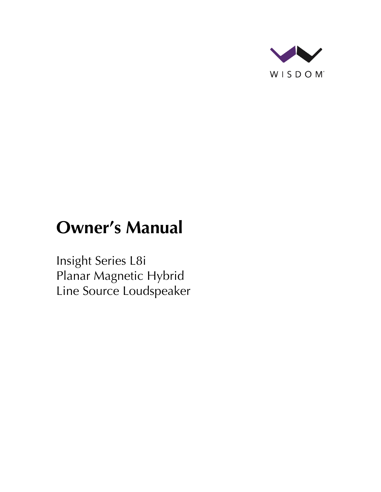

# **Owner's Manual**

Insight Series L8i Planar Magnetic Hybrid Line Source Loudspeaker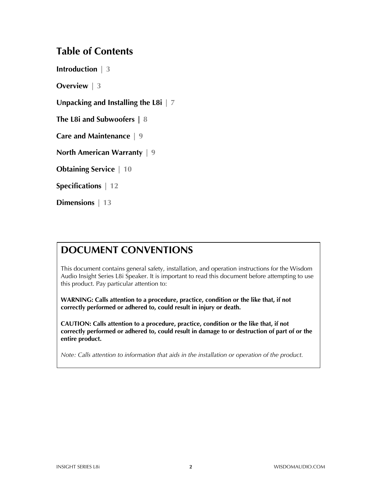#### **Table of Contents**

**Introduction | 3**

**Overview | 3**

**Unpacking and Installing the L8i | 7**

**The L8i and Subwoofers | 8**

**Care and Maintenance | 9**

**North American Warranty | 9**

**Obtaining Service | 10**

**Specifications | 12**

**Dimensions | 13**

### **DOCUMENT CONVENTIONS**

This document contains general safety, installation, and operation instructions for the Wisdom Audio Insight Series L8i Speaker. It is important to read this document before attempting to use this product. Pay particular attention to:

**WARNING: Calls attention to a procedure, practice, condition or the like that, if not correctly performed or adhered to, could result in injury or death.** 

**CAUTION: Calls attention to a procedure, practice, condition or the like that, if not correctly performed or adhered to, could result in damage to or destruction of part of or the entire product.** 

*Note: Calls attention to information that aids in the installation or operation of the product.*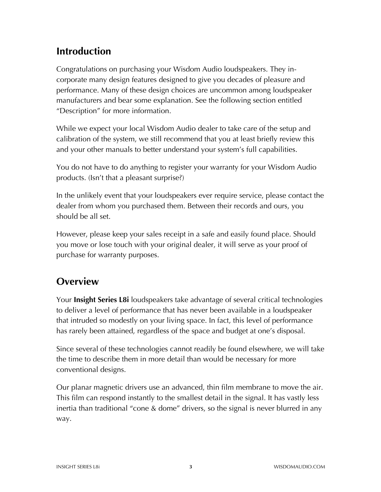## **Introduction**

Congratulations on purchasing your Wisdom Audio loudspeakers. They incorporate many design features designed to give you decades of pleasure and performance. Many of these design choices are uncommon among loudspeaker manufacturers and bear some explanation. See the following section entitled "Description" for more information.

While we expect your local Wisdom Audio dealer to take care of the setup and calibration of the system, we still recommend that you at least briefly review this and your other manuals to better understand your system's full capabilities.

You do not have to do anything to register your warranty for your Wisdom Audio products. (Isn't that a pleasant surprise?)

In the unlikely event that your loudspeakers ever require service, please contact the dealer from whom you purchased them. Between their records and ours, you should be all set.

However, please keep your sales receipt in a safe and easily found place. Should you move or lose touch with your original dealer, it will serve as your proof of purchase for warranty purposes.

### **Overview**

Your **Insight Series L8i** loudspeakers take advantage of several critical technologies to deliver a level of performance that has never been available in a loudspeaker that intruded so modestly on your living space. In fact, this level of performance has rarely been attained, regardless of the space and budget at one's disposal.

Since several of these technologies cannot readily be found elsewhere, we will take the time to describe them in more detail than would be necessary for more conventional designs.

Our planar magnetic drivers use an advanced, thin film membrane to move the air. This film can respond instantly to the smallest detail in the signal. It has vastly less inertia than traditional "cone & dome" drivers, so the signal is never blurred in any way.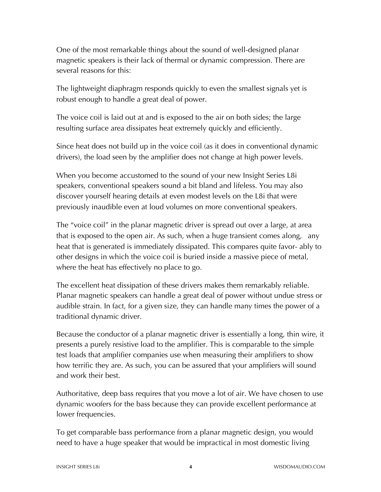One of the most remarkable things about the sound of well-designed planar magnetic speakers is their lack of thermal or dynamic compression. There are several reasons for this:

The lightweight diaphragm responds quickly to even the smallest signals yet is robust enough to handle a great deal of power.

The voice coil is laid out at and is exposed to the air on both sides; the large resulting surface area dissipates heat extremely quickly and efficiently.

Since heat does not build up in the voice coil (as it does in conventional dynamic drivers), the load seen by the amplifier does not change at high power levels.

When you become accustomed to the sound of your new Insight Series L8i speakers, conventional speakers sound a bit bland and lifeless. You may also discover yourself hearing details at even modest levels on the L8i that were previously inaudible even at loud volumes on more conventional speakers.

The "voice coil" in the planar magnetic driver is spread out over a large, at area that is exposed to the open air. As such, when a huge transient comes along, any heat that is generated is immediately dissipated. This compares quite favor- ably to other designs in which the voice coil is buried inside a massive piece of metal, where the heat has effectively no place to go.

The excellent heat dissipation of these drivers makes them remarkably reliable. Planar magnetic speakers can handle a great deal of power without undue stress or audible strain. In fact, for a given size, they can handle many times the power of a traditional dynamic driver.

Because the conductor of a planar magnetic driver is essentially a long, thin wire, it presents a purely resistive load to the amplifier. This is comparable to the simple test loads that amplifier companies use when measuring their amplifiers to show how terrific they are. As such, you can be assured that your amplifiers will sound and work their best.

Authoritative, deep bass requires that you move a lot of air. We have chosen to use dynamic woofers for the bass because they can provide excellent performance at lower frequencies.

To get comparable bass performance from a planar magnetic design, you would need to have a huge speaker that would be impractical in most domestic living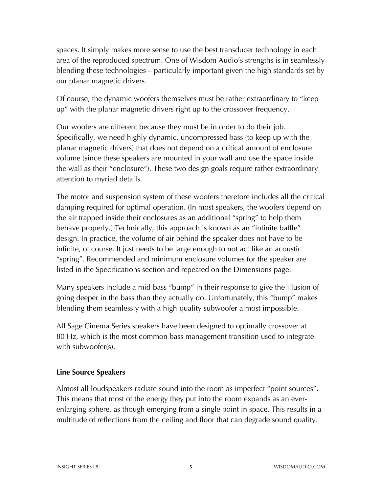spaces. It simply makes more sense to use the best transducer technology in each area of the reproduced spectrum. One of Wisdom Audio's strengths is in seamlessly blending these technologies – particularly important given the high standards set by our planar magnetic drivers.

Of course, the dynamic woofers themselves must be rather extraordinary to "keep up" with the planar magnetic drivers right up to the crossover frequency.

Our woofers are different because they must be in order to do their job. Specifically, we need highly dynamic, uncompressed bass (to keep up with the planar magnetic drivers) that does not depend on a critical amount of enclosure volume (since these speakers are mounted in your wall and use the space inside the wall as their "enclosure"). These two design goals require rather extraordinary attention to myriad details.

The motor and suspension system of these woofers therefore includes all the critical damping required for optimal operation. (In most speakers, the woofers depend on the air trapped inside their enclosures as an additional "spring" to help them behave properly.) Technically, this approach is known as an "infinite baffle" design. In practice, the volume of air behind the speaker does not have to be infinite, of course. It just needs to be large enough to not act like an acoustic "spring". Recommended and minimum enclosure volumes for the speaker are listed in the Specifications section and repeated on the Dimensions page.

Many speakers include a mid-bass "bump" in their response to give the illusion of going deeper in the bass than they actually do. Unfortunately, this "bump" makes blending them seamlessly with a high-quality subwoofer almost impossible.

All Sage Cinema Series speakers have been designed to optimally crossover at 80 Hz, which is the most common bass management transition used to integrate with subwoofer(s).

#### **Line Source Speakers**

Almost all loudspeakers radiate sound into the room as imperfect "point sources". This means that most of the energy they put into the room expands as an everenlarging sphere, as though emerging from a single point in space. This results in a multitude of reflections from the ceiling and floor that can degrade sound quality.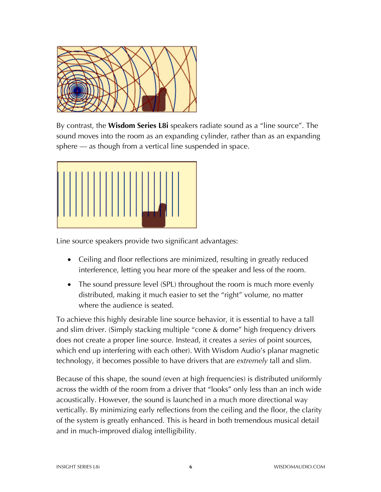

By contrast, the **Wisdom Series L8i** speakers radiate sound as a "line source". The sound moves into the room as an expanding cylinder, rather than as an expanding sphere — as though from a vertical line suspended in space.



Line source speakers provide two significant advantages:

- Ceiling and floor reflections are minimized, resulting in greatly reduced interference, letting you hear more of the speaker and less of the room.
- The sound pressure level (SPL) throughout the room is much more evenly distributed, making it much easier to set the "right" volume, no matter where the audience is seated.

To achieve this highly desirable line source behavior, it is essential to have a tall and slim driver. (Simply stacking multiple "cone & dome" high frequency drivers does not create a proper line source. Instead, it creates a *series* of point sources, which end up interfering with each other). With Wisdom Audio's planar magnetic technology, it becomes possible to have drivers that are *extremely* tall and slim.

Because of this shape, the sound (even at high frequencies) is distributed uniformly across the width of the room from a driver that "looks" only less than an inch wide acoustically. However, the sound is launched in a much more directional way vertically. By minimizing early reflections from the ceiling and the floor, the clarity of the system is greatly enhanced. This is heard in both tremendous musical detail and in much-improved dialog intelligibility.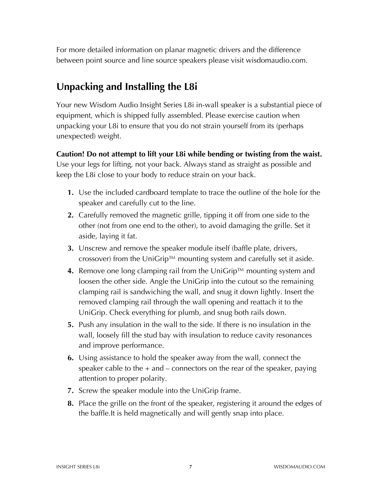For more detailed information on planar magnetic drivers and the difference between point source and line source speakers please visit wisdomaudio.com.

## **Unpacking and Installing the L8i**

Your new Wisdom Audio Insight Series L8i in-wall speaker is a substantial piece of equipment, which is shipped fully assembled. Please exercise caution when unpacking your L8i to ensure that you do not strain yourself from its (perhaps unexpected) weight.

**Caution! Do not attempt to lift your L8i while bending or twisting from the waist.** Use your legs for lifting, not your back. Always stand as straight as possible and keep the L8i close to your body to reduce strain on your back.

- **1.** Use the included cardboard template to trace the outline of the hole for the speaker and carefully cut to the line.
- **2.** Carefully removed the magnetic grille, tipping it off from one side to the other (not from one end to the other), to avoid damaging the grille. Set it aside, laying it fat.
- **3.** Unscrew and remove the speaker module itself (baffle plate, drivers, crossover) from the UniGrip™ mounting system and carefully set it aside.
- **4.** Remove one long clamping rail from the UniGrip™ mounting system and loosen the other side. Angle the UniGrip into the cutout so the remaining clamping rail is sandwiching the wall, and snug it down lightly. Insert the removed clamping rail through the wall opening and reattach it to the UniGrip. Check everything for plumb, and snug both rails down.
- **5.** Push any insulation in the wall to the side. If there is no insulation in the wall, loosely fill the stud bay with insulation to reduce cavity resonances and improve performance.
- **6.** Using assistance to hold the speaker away from the wall, connect the speaker cable to the  $+$  and  $-$  connectors on the rear of the speaker, paying attention to proper polarity.
- **7.** Screw the speaker module into the UniGrip frame.
- **8.** Place the grille on the front of the speaker, registering it around the edges of the baffle.It is held magnetically and will gently snap into place.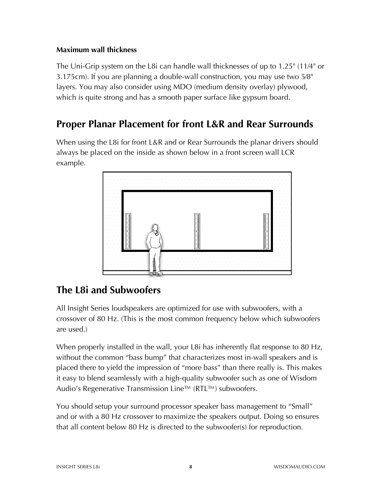#### **Maximum wall thickness**

The Uni-Grip system on the L8i can handle wall thicknesses of up to 1.25" (11⁄4" or 3.175cm). If you are planning a double-wall construction, you may use two 5⁄8" layers. You may also consider using MDO (medium density overlay) plywood, which is quite strong and has a smooth paper surface like gypsum board.

### **Proper Planar Placement for front L&R and Rear Surrounds**

When using the L8i for front L&R and or Rear Surrounds the planar drivers should always be placed on the inside as shown below in a front screen wall LCR example.



### **The L8i and Subwoofers**

All Insight Series loudspeakers are optimized for use with subwoofers, with a crossover of 80 Hz. (This is the most common frequency below which subwoofers are used.)

When properly installed in the wall, your L8i has inherently flat response to 80 Hz, without the common "bass bump" that characterizes most in-wall speakers and is placed there to yield the impression of "more bass" than there really is. This makes it easy to blend seamlessly with a high-quality subwoofer such as one of Wisdom Audio's Regenerative Transmission Line™ (RTL™) subwoofers.

You should setup your surround processor speaker bass management to "Small" and or with a 80 Hz crossover to maximize the speakers output. Doing so ensures that all content below 80 Hz is directed to the subwoofer(s) for reproduction.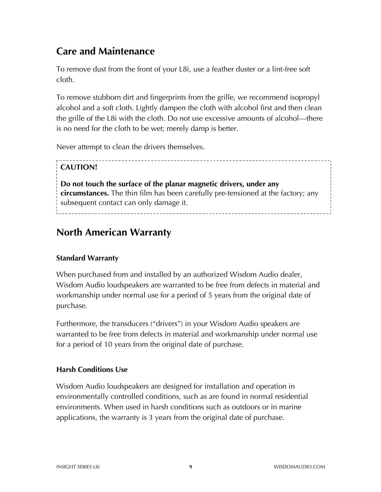### **Care and Maintenance**

To remove dust from the front of your L8i, use a feather duster or a lint-free soft cloth.

To remove stubborn dirt and fingerprints from the grille, we recommend isopropyl alcohol and a soft cloth. Lightly dampen the cloth with alcohol first and then clean the grille of the L8i with the cloth. Do not use excessive amounts of alcohol—there is no need for the cloth to be wet; merely damp is better.

Never attempt to clean the drivers themselves.

#### **CAUTION!**

**Do not touch the surface of the planar magnetic drivers, under any circumstances.** The thin film has been carefully pre-tensioned at the factory; any subsequent contact can only damage it. 

### **North American Warranty**

#### **Standard Warranty**

When purchased from and installed by an authorized Wisdom Audio dealer, Wisdom Audio loudspeakers are warranted to be free from defects in material and workmanship under normal use for a period of 5 years from the original date of purchase.

Furthermore, the transducers ("drivers") in your Wisdom Audio speakers are warranted to be free from defects in material and workmanship under normal use for a period of 10 years from the original date of purchase.

#### **Harsh Conditions Use**

Wisdom Audio loudspeakers are designed for installation and operation in environmentally controlled conditions, such as are found in normal residential environments. When used in harsh conditions such as outdoors or in marine applications, the warranty is 3 years from the original date of purchase.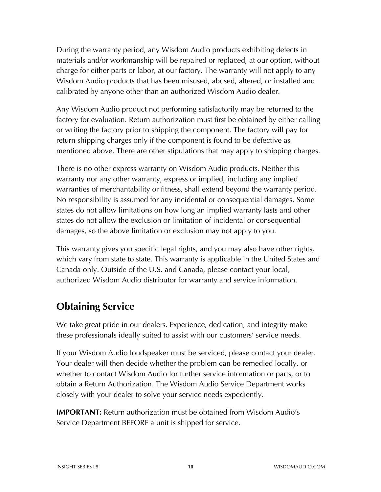During the warranty period, any Wisdom Audio products exhibiting defects in materials and/or workmanship will be repaired or replaced, at our option, without charge for either parts or labor, at our factory. The warranty will not apply to any Wisdom Audio products that has been misused, abused, altered, or installed and calibrated by anyone other than an authorized Wisdom Audio dealer.

Any Wisdom Audio product not performing satisfactorily may be returned to the factory for evaluation. Return authorization must first be obtained by either calling or writing the factory prior to shipping the component. The factory will pay for return shipping charges only if the component is found to be defective as mentioned above. There are other stipulations that may apply to shipping charges.

There is no other express warranty on Wisdom Audio products. Neither this warranty nor any other warranty, express or implied, including any implied warranties of merchantability or fitness, shall extend beyond the warranty period. No responsibility is assumed for any incidental or consequential damages. Some states do not allow limitations on how long an implied warranty lasts and other states do not allow the exclusion or limitation of incidental or consequential damages, so the above limitation or exclusion may not apply to you.

This warranty gives you specific legal rights, and you may also have other rights, which vary from state to state. This warranty is applicable in the United States and Canada only. Outside of the U.S. and Canada, please contact your local, authorized Wisdom Audio distributor for warranty and service information.

### **Obtaining Service**

We take great pride in our dealers. Experience, dedication, and integrity make these professionals ideally suited to assist with our customers' service needs.

If your Wisdom Audio loudspeaker must be serviced, please contact your dealer. Your dealer will then decide whether the problem can be remedied locally, or whether to contact Wisdom Audio for further service information or parts, or to obtain a Return Authorization. The Wisdom Audio Service Department works closely with your dealer to solve your service needs expediently.

**IMPORTANT:** Return authorization must be obtained from Wisdom Audio's Service Department BEFORE a unit is shipped for service.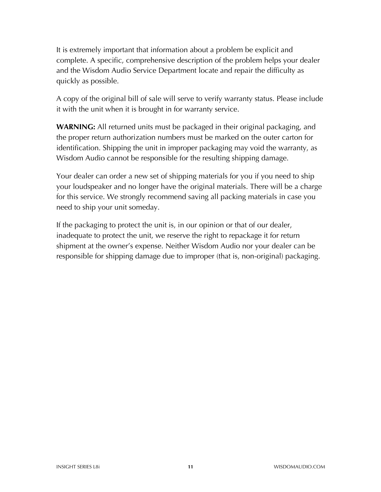It is extremely important that information about a problem be explicit and complete. A specific, comprehensive description of the problem helps your dealer and the Wisdom Audio Service Department locate and repair the difficulty as quickly as possible.

A copy of the original bill of sale will serve to verify warranty status. Please include it with the unit when it is brought in for warranty service.

**WARNING:** All returned units must be packaged in their original packaging, and the proper return authorization numbers must be marked on the outer carton for identification. Shipping the unit in improper packaging may void the warranty, as Wisdom Audio cannot be responsible for the resulting shipping damage.

Your dealer can order a new set of shipping materials for you if you need to ship your loudspeaker and no longer have the original materials. There will be a charge for this service. We strongly recommend saving all packing materials in case you need to ship your unit someday.

If the packaging to protect the unit is, in our opinion or that of our dealer, inadequate to protect the unit, we reserve the right to repackage it for return shipment at the owner's expense. Neither Wisdom Audio nor your dealer can be responsible for shipping damage due to improper (that is, non-original) packaging.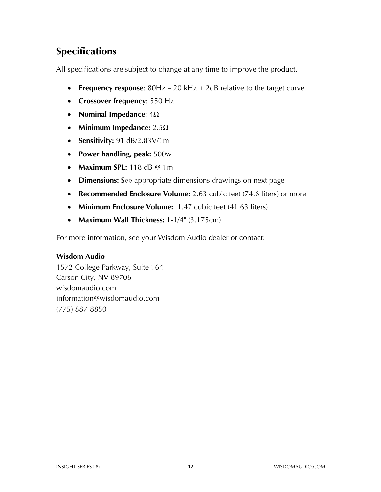# **Specifications**

All specifications are subject to change at any time to improve the product.

- **Frequency response**: 80Hz 20 kHz  $\pm$  2dB relative to the target curve
- **Crossover frequency**: 550 Hz
- **Nominal Impedance**: 4Ω
- **Minimum Impedance:** 2.5Ω
- **Sensitivity:** 91 dB/2.83V/1m
- **Power handling, peak:** 500w
- **Maximum SPL:** 118 dB @ 1m
- **Dimensions: S**ee appropriate dimensions drawings on next page
- **Recommended Enclosure Volume:** 2.63 cubic feet (74.6 liters) or more
- **Minimum Enclosure Volume:** 1.47 cubic feet (41.63 liters)
- **Maximum Wall Thickness:** 1-1/4" (3.175cm)

For more information, see your Wisdom Audio dealer or contact:

#### **Wisdom Audio**

1572 College Parkway, Suite 164 Carson City, NV 89706 wisdomaudio.com information@wisdomaudio.com (775) 887-8850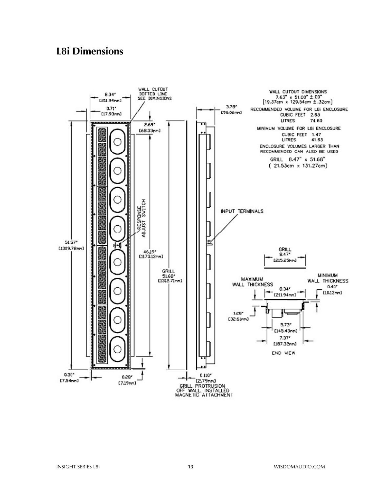#### **L8i Dimensions**